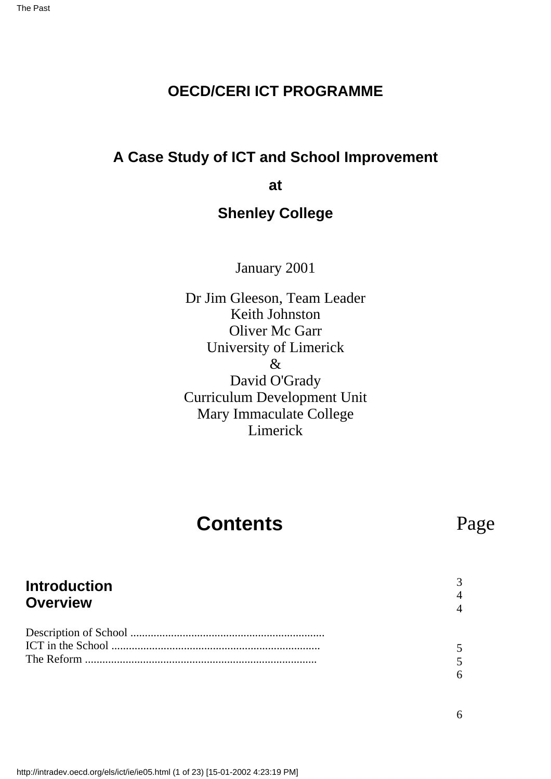### **OECD/CERI ICT PROGRAMME**

### **A Case Study of ICT and School Improvement**

**at**

### **Shenley College**

January 2001

Dr Jim Gleeson, Team Leader Keith Johnston Oliver Mc Garr University of Limerick & David O'Grady Curriculum Development Unit Mary Immaculate College Limerick

# **Contents**

# Page

#### **Introduction Overview** Description of School ................................................................... ICT in the School ........................................................................ The Reform ................................................................................ 3 4 4 5 5 6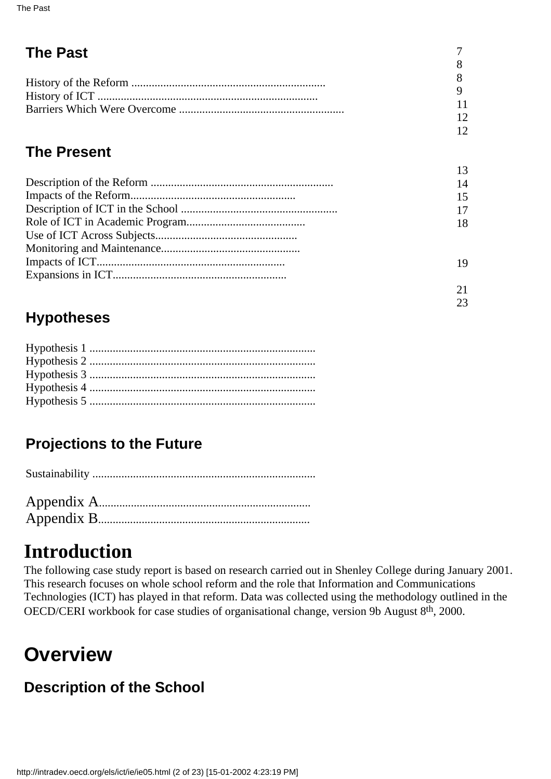| <b>The Past</b> |                 |
|-----------------|-----------------|
|                 |                 |
|                 |                 |
|                 |                 |
|                 |                 |
|                 | 1 $\mathcal{D}$ |
|                 |                 |

## **The Present**

| 14 |
|----|
|    |
|    |
| 18 |
|    |
|    |
| 19 |
|    |
|    |
|    |

23

# **Hypotheses**

# **Projections to the Future**

# **Introduction**

The following case study report is based on research carried out in Shenley College during January 2001. This research focuses on whole school reform and the role that Information and Communications Technologies (ICT) has played in that reform. Data was collected using the methodology outlined in the OECD/CERI workbook for case studies of organisational change, version 9b August 8th, 2000.

# **Overview**

# **Description of the School**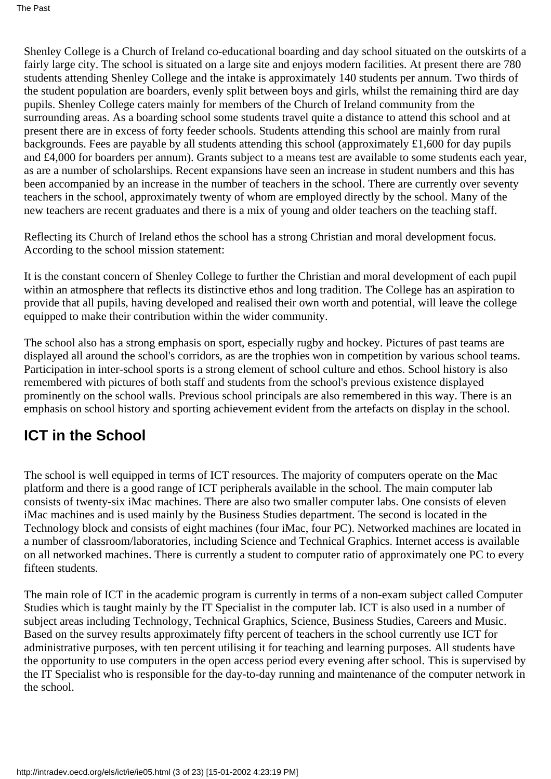Shenley College is a Church of Ireland co-educational boarding and day school situated on the outskirts of a fairly large city. The school is situated on a large site and enjoys modern facilities. At present there are 780 students attending Shenley College and the intake is approximately 140 students per annum. Two thirds of the student population are boarders, evenly split between boys and girls, whilst the remaining third are day pupils. Shenley College caters mainly for members of the Church of Ireland community from the surrounding areas. As a boarding school some students travel quite a distance to attend this school and at present there are in excess of forty feeder schools. Students attending this school are mainly from rural backgrounds. Fees are payable by all students attending this school (approximately £1,600 for day pupils and £4,000 for boarders per annum). Grants subject to a means test are available to some students each year, as are a number of scholarships. Recent expansions have seen an increase in student numbers and this has been accompanied by an increase in the number of teachers in the school. There are currently over seventy teachers in the school, approximately twenty of whom are employed directly by the school. Many of the new teachers are recent graduates and there is a mix of young and older teachers on the teaching staff.

Reflecting its Church of Ireland ethos the school has a strong Christian and moral development focus. According to the school mission statement:

It is the constant concern of Shenley College to further the Christian and moral development of each pupil within an atmosphere that reflects its distinctive ethos and long tradition. The College has an aspiration to provide that all pupils, having developed and realised their own worth and potential, will leave the college equipped to make their contribution within the wider community.

The school also has a strong emphasis on sport, especially rugby and hockey. Pictures of past teams are displayed all around the school's corridors, as are the trophies won in competition by various school teams. Participation in inter-school sports is a strong element of school culture and ethos. School history is also remembered with pictures of both staff and students from the school's previous existence displayed prominently on the school walls. Previous school principals are also remembered in this way. There is an emphasis on school history and sporting achievement evident from the artefacts on display in the school.

## **ICT in the School**

The school is well equipped in terms of ICT resources. The majority of computers operate on the Mac platform and there is a good range of ICT peripherals available in the school. The main computer lab consists of twenty-six iMac machines. There are also two smaller computer labs. One consists of eleven iMac machines and is used mainly by the Business Studies department. The second is located in the Technology block and consists of eight machines (four iMac, four PC). Networked machines are located in a number of classroom/laboratories, including Science and Technical Graphics. Internet access is available on all networked machines. There is currently a student to computer ratio of approximately one PC to every fifteen students.

The main role of ICT in the academic program is currently in terms of a non-exam subject called Computer Studies which is taught mainly by the IT Specialist in the computer lab. ICT is also used in a number of subject areas including Technology, Technical Graphics, Science, Business Studies, Careers and Music. Based on the survey results approximately fifty percent of teachers in the school currently use ICT for administrative purposes, with ten percent utilising it for teaching and learning purposes. All students have the opportunity to use computers in the open access period every evening after school. This is supervised by the IT Specialist who is responsible for the day-to-day running and maintenance of the computer network in the school.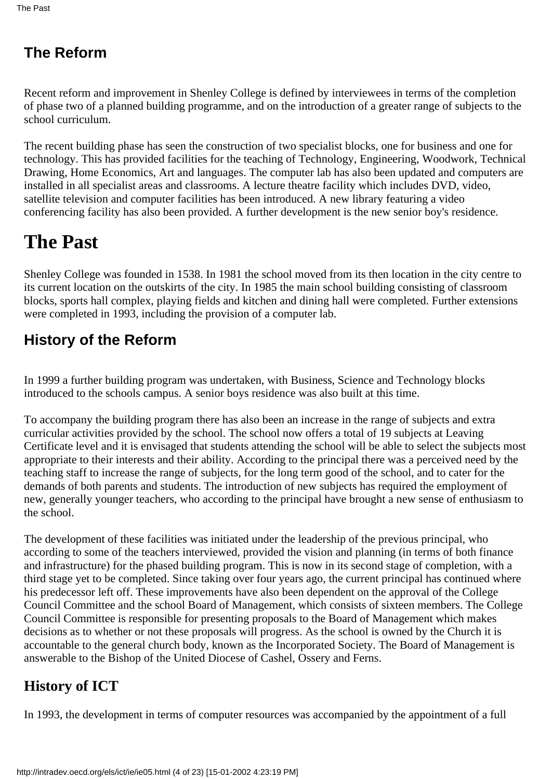# **The Reform**

Recent reform and improvement in Shenley College is defined by interviewees in terms of the completion of phase two of a planned building programme, and on the introduction of a greater range of subjects to the school curriculum.

The recent building phase has seen the construction of two specialist blocks, one for business and one for technology. This has provided facilities for the teaching of Technology, Engineering, Woodwork, Technical Drawing, Home Economics, Art and languages. The computer lab has also been updated and computers are installed in all specialist areas and classrooms. A lecture theatre facility which includes DVD, video, satellite television and computer facilities has been introduced. A new library featuring a video conferencing facility has also been provided. A further development is the new senior boy's residence.

# **The Past**

Shenley College was founded in 1538. In 1981 the school moved from its then location in the city centre to its current location on the outskirts of the city. In 1985 the main school building consisting of classroom blocks, sports hall complex, playing fields and kitchen and dining hall were completed. Further extensions were completed in 1993, including the provision of a computer lab.

# **History of the Reform**

In 1999 a further building program was undertaken, with Business, Science and Technology blocks introduced to the school s campus. A senior boys residence was also built at this time.

To accompany the building program there has also been an increase in the range of subjects and extra curricular activities provided by the school. The school now offers a total of 19 subjects at Leaving Certificate level and it is envisaged that students attending the school will be able to select the subjects most appropriate to their interests and their ability. According to the principal there was a perceived need by the teaching staff to increase the range of subjects, for the long term good of the school, and to cater for the demands of both parents and students. The introduction of new subjects has required the employment of new, generally younger teachers, who according to the principal have brought a new sense of enthusiasm to the school.

The development of these facilities was initiated under the leadership of the previous principal, who according to some of the teachers interviewed, provided the vision and planning (in terms of both finance and infrastructure) for the phased building program. This is now in its second stage of completion, with a third stage yet to be completed. Since taking over four years ago, the current principal has continued where his predecessor left off. These improvements have also been dependent on the approval of the College Council Committee and the school Board of Management, which consists of sixteen members. The College Council Committee is responsible for presenting proposals to the Board of Management which makes decisions as to whether or not these proposals will progress. As the school is owned by the Church it is accountable to the general church body, known as the Incorporated Society. The Board of Management is answerable to the Bishop of the United Diocese of Cashel, Ossery and Ferns.

# **History of ICT**

In 1993, the development in terms of computer resources was accompanied by the appointment of a full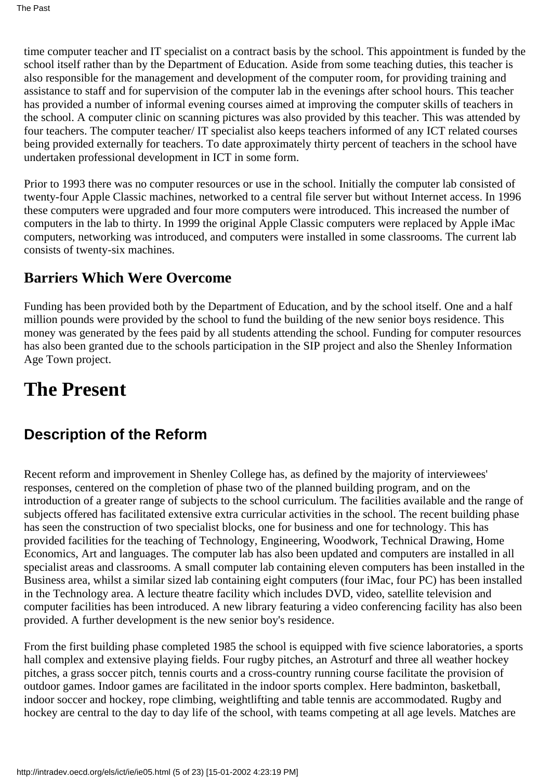time computer teacher and IT specialist on a contract basis by the school. This appointment is funded by the school itself rather than by the Department of Education. Aside from some teaching duties, this teacher is also responsible for the management and development of the computer room, for providing training and assistance to staff and for supervision of the computer lab in the evenings after school hours. This teacher has provided a number of informal evening courses aimed at improving the computer skills of teachers in the school. A computer clinic on scanning pictures was also provided by this teacher. This was attended by four teachers. The computer teacher/ IT specialist also keeps teachers informed of any ICT related courses being provided externally for teachers. To date approximately thirty percent of teachers in the school have undertaken professional development in ICT in some form.

Prior to 1993 there was no computer resources or use in the school. Initially the computer lab consisted of twenty-four Apple Classic machines, networked to a central file server but without Internet access. In 1996 these computers were upgraded and four more computers were introduced. This increased the number of computers in the lab to thirty. In 1999 the original Apple Classic computers were replaced by Apple iMac computers, networking was introduced, and computers were installed in some classrooms. The current lab consists of twenty-six machines.

### **Barriers Which Were Overcome**

Funding has been provided both by the Department of Education, and by the school itself. One and a half million pounds were provided by the school to fund the building of the new senior boys residence. This money was generated by the fees paid by all students attending the school. Funding for computer resources has also been granted due to the schools participation in the SIP project and also the Shenley Information Age Town project.

# **The Present**

### **Description of the Reform**

Recent reform and improvement in Shenley College has, as defined by the majority of interviewees' responses, centered on the completion of phase two of the planned building program, and on the introduction of a greater range of subjects to the school curriculum. The facilities available and the range of subjects offered has facilitated extensive extra curricular activities in the school. The recent building phase has seen the construction of two specialist blocks, one for business and one for technology. This has provided facilities for the teaching of Technology, Engineering, Woodwork, Technical Drawing, Home Economics, Art and languages. The computer lab has also been updated and computers are installed in all specialist areas and classrooms. A small computer lab containing eleven computers has been installed in the Business area, whilst a similar sized lab containing eight computers (four iMac, four PC) has been installed in the Technology area. A lecture theatre facility which includes DVD, video, satellite television and computer facilities has been introduced. A new library featuring a video conferencing facility has also been provided. A further development is the new senior boy's residence.

From the first building phase completed 1985 the school is equipped with five science laboratories, a sports hall complex and extensive playing fields. Four rugby pitches, an Astroturf and three all weather hockey pitches, a grass soccer pitch, tennis courts and a cross-country running course facilitate the provision of outdoor games. Indoor games are facilitated in the indoor sports complex. Here badminton, basketball, indoor soccer and hockey, rope climbing, weightlifting and table tennis are accommodated. Rugby and hockey are central to the day to day life of the school, with teams competing at all age levels. Matches are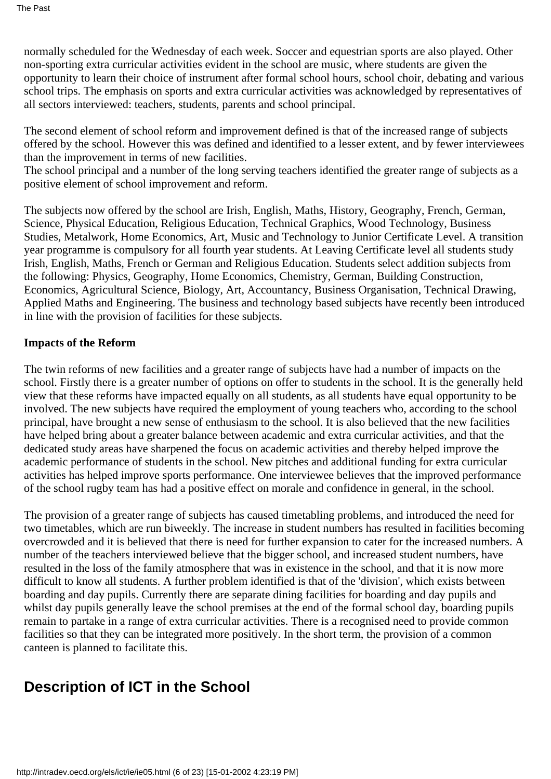normally scheduled for the Wednesday of each week. Soccer and equestrian sports are also played. Other non-sporting extra curricular activities evident in the school are music, where students are given the opportunity to learn their choice of instrument after formal school hours, school choir, debating and various school trips. The emphasis on sports and extra curricular activities was acknowledged by representatives of all sectors interviewed: teachers, students, parents and school principal.

The second element of school reform and improvement defined is that of the increased range of subjects offered by the school. However this was defined and identified to a lesser extent, and by fewer interviewees than the improvement in terms of new facilities.

The school principal and a number of the long serving teachers identified the greater range of subjects as a positive element of school improvement and reform.

The subjects now offered by the school are Irish, English, Maths, History, Geography, French, German, Science, Physical Education, Religious Education, Technical Graphics, Wood Technology, Business Studies, Metalwork, Home Economics, Art, Music and Technology to Junior Certificate Level. A transition year programme is compulsory for all fourth year students. At Leaving Certificate level all students study Irish, English, Maths, French or German and Religious Education. Students select addition subjects from the following: Physics, Geography, Home Economics, Chemistry, German, Building Construction, Economics, Agricultural Science, Biology, Art, Accountancy, Business Organisation, Technical Drawing, Applied Maths and Engineering. The business and technology based subjects have recently been introduced in line with the provision of facilities for these subjects.

#### **Impacts of the Reform**

The twin reforms of new facilities and a greater range of subjects have had a number of impacts on the school. Firstly there is a greater number of options on offer to students in the school. It is the generally held view that these reforms have impacted equally on all students, as all students have equal opportunity to be involved. The new subjects have required the employment of young teachers who, according to the school principal, have brought a new sense of enthusiasm to the school. It is also believed that the new facilities have helped bring about a greater balance between academic and extra curricular activities, and that the dedicated study areas have sharpened the focus on academic activities and thereby helped improve the academic performance of students in the school. New pitches and additional funding for extra curricular activities has helped improve sports performance. One interviewee believes that the improved performance of the school rugby team has had a positive effect on morale and confidence in general, in the school.

The provision of a greater range of subjects has caused timetabling problems, and introduced the need for two timetables, which are run biweekly. The increase in student numbers has resulted in facilities becoming overcrowded and it is believed that there is need for further expansion to cater for the increased numbers. A number of the teachers interviewed believe that the bigger school, and increased student numbers, have resulted in the loss of the family atmosphere that was in existence in the school, and that it is now more difficult to know all students. A further problem identified is that of the 'division', which exists between boarding and day pupils. Currently there are separate dining facilities for boarding and day pupils and whilst day pupils generally leave the school premises at the end of the formal school day, boarding pupils remain to partake in a range of extra curricular activities. There is a recognised need to provide common facilities so that they can be integrated more positively. In the short term, the provision of a common canteen is planned to facilitate this.

## **Description of ICT in the School**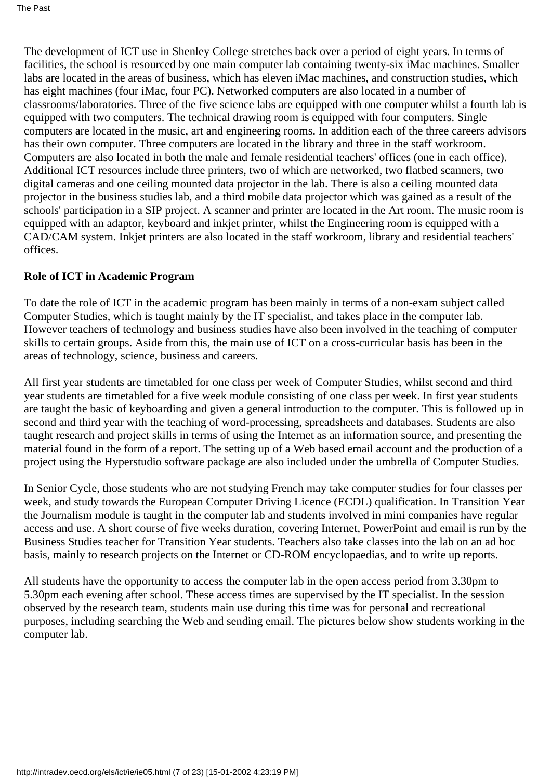The development of ICT use in Shenley College stretches back over a period of eight years. In terms of facilities, the school is resourced by one main computer lab containing twenty-six iMac machines. Smaller labs are located in the areas of business, which has eleven iMac machines, and construction studies, which has eight machines (four iMac, four PC). Networked computers are also located in a number of classrooms/laboratories. Three of the five science labs are equipped with one computer whilst a fourth lab is equipped with two computers. The technical drawing room is equipped with four computers. Single computers are located in the music, art and engineering rooms. In addition each of the three careers advisors has their own computer. Three computers are located in the library and three in the staff workroom. Computers are also located in both the male and female residential teachers' offices (one in each office). Additional ICT resources include three printers, two of which are networked, two flatbed scanners, two digital cameras and one ceiling mounted data projector in the lab. There is also a ceiling mounted data projector in the business studies lab, and a third mobile data projector which was gained as a result of the schools' participation in a SIP project. A scanner and printer are located in the Art room. The music room is equipped with an adaptor, keyboard and inkjet printer, whilst the Engineering room is equipped with a CAD/CAM system. Inkjet printers are also located in the staff workroom, library and residential teachers' offices.

#### **Role of ICT in Academic Program**

To date the role of ICT in the academic program has been mainly in terms of a non-exam subject called Computer Studies, which is taught mainly by the IT specialist, and takes place in the computer lab. However teachers of technology and business studies have also been involved in the teaching of computer skills to certain groups. Aside from this, the main use of ICT on a cross-curricular basis has been in the areas of technology, science, business and careers.

All first year students are timetabled for one class per week of Computer Studies, whilst second and third year students are timetabled for a five week module consisting of one class per week. In first year students are taught the basic of keyboarding and given a general introduction to the computer. This is followed up in second and third year with the teaching of word-processing, spreadsheets and databases. Students are also taught research and project skills in terms of using the Internet as an information source, and presenting the material found in the form of a report. The setting up of a Web based email account and the production of a project using the Hyperstudio software package are also included under the umbrella of Computer Studies.

In Senior Cycle, those students who are not studying French may take computer studies for four classes per week, and study towards the European Computer Driving Licence (ECDL) qualification. In Transition Year the Journalism module is taught in the computer lab and students involved in mini companies have regular access and use. A short course of five weeks duration, covering Internet, PowerPoint and email is run by the Business Studies teacher for Transition Year students. Teachers also take classes into the lab on an ad hoc basis, mainly to research projects on the Internet or CD-ROM encyclopaedias, and to write up reports.

All students have the opportunity to access the computer lab in the open access period from 3.30pm to 5.30pm each evening after school. These access times are supervised by the IT specialist. In the session observed by the research team, students main use during this time was for personal and recreational purposes, including searching the Web and sending email. The pictures below show students working in the computer lab.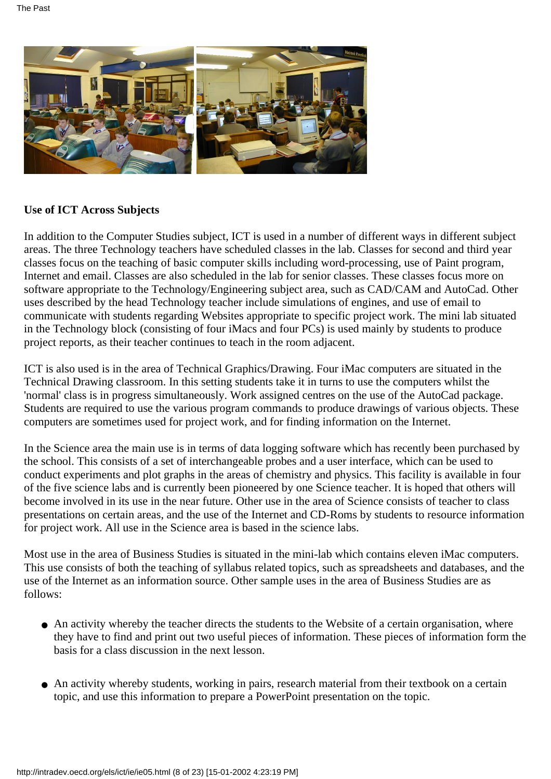

#### **Use of ICT Across Subjects**

In addition to the Computer Studies subject, ICT is used in a number of different ways in different subject areas. The three Technology teachers have scheduled classes in the lab. Classes for second and third year classes focus on the teaching of basic computer skills including word-processing, use of Paint program, Internet and email. Classes are also scheduled in the lab for senior classes. These classes focus more on software appropriate to the Technology/Engineering subject area, such as CAD/CAM and AutoCad. Other uses described by the head Technology teacher include simulations of engines, and use of email to communicate with students regarding Websites appropriate to specific project work. The mini lab situated in the Technology block (consisting of four iMacs and four PCs) is used mainly by students to produce project reports, as their teacher continues to teach in the room adjacent.

ICT is also used is in the area of Technical Graphics/Drawing. Four iMac computers are situated in the Technical Drawing classroom. In this setting students take it in turns to use the computers whilst the 'normal' class is in progress simultaneously. Work assigned centres on the use of the AutoCad package. Students are required to use the various program commands to produce drawings of various objects. These computers are sometimes used for project work, and for finding information on the Internet.

In the Science area the main use is in terms of data logging software which has recently been purchased by the school. This consists of a set of interchangeable probes and a user interface, which can be used to conduct experiments and plot graphs in the areas of chemistry and physics. This facility is available in four of the five science labs and is currently been pioneered by one Science teacher. It is hoped that others will become involved in its use in the near future. Other use in the area of Science consists of teacher to class presentations on certain areas, and the use of the Internet and CD-Roms by students to resource information for project work. All use in the Science area is based in the science labs.

Most use in the area of Business Studies is situated in the mini-lab which contains eleven iMac computers. This use consists of both the teaching of syllabus related topics, such as spreadsheets and databases, and the use of the Internet as an information source. Other sample uses in the area of Business Studies are as follows:

- An activity whereby the teacher directs the students to the Website of a certain organisation, where they have to find and print out two useful pieces of information. These pieces of information form the basis for a class discussion in the next lesson.
- An activity whereby students, working in pairs, research material from their textbook on a certain topic, and use this information to prepare a PowerPoint presentation on the topic.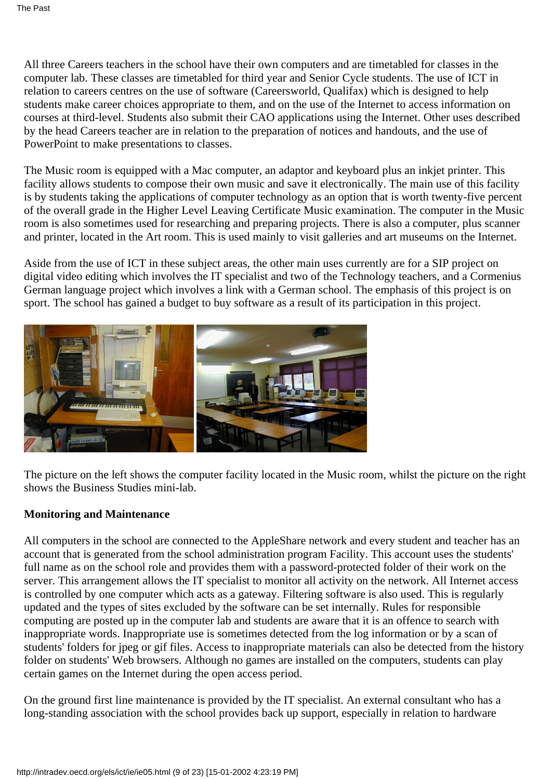All three Careers teachers in the school have their own computers and are timetabled for classes in the computer lab. These classes are timetabled for third year and Senior Cycle students. The use of ICT in relation to careers centres on the use of software (Careersworld, Qualifax) which is designed to help students make career choices appropriate to them, and on the use of the Internet to access information on courses at third-level. Students also submit their CAO applications using the Internet. Other uses described by the head Careers teacher are in relation to the preparation of notices and handouts, and the use of PowerPoint to make presentations to classes.

The Music room is equipped with a Mac computer, an adaptor and keyboard plus an inkjet printer. This facility allows students to compose their own music and save it electronically. The main use of this facility is by students taking the applications of computer technology as an option that is worth twenty-five percent of the overall grade in the Higher Level Leaving Certificate Music examination. The computer in the Music room is also sometimes used for researching and preparing projects. There is also a computer, plus scanner and printer, located in the Art room. This is used mainly to visit galleries and art museums on the Internet.

Aside from the use of ICT in these subject areas, the other main uses currently are for a SIP project on digital video editing which involves the IT specialist and two of the Technology teachers, and a Cormenius German language project which involves a link with a German school. The emphasis of this project is on sport. The school has gained a budget to buy software as a result of its participation in this project.



The picture on the left shows the computer facility located in the Music room, whilst the picture on the right shows the Business Studies mini-lab.

#### **Monitoring and Maintenance**

All computers in the school are connected to the AppleShare network and every student and teacher has an account that is generated from the school administration program Facility. This account uses the students' full name as on the school role and provides them with a password-protected folder of their work on the server. This arrangement allows the IT specialist to monitor all activity on the network. All Internet access is controlled by one computer which acts as a gateway. Filtering software is also used. This is regularly updated and the types of sites excluded by the software can be set internally. Rules for responsible computing are posted up in the computer lab and students are aware that it is an offence to search with inappropriate words. Inappropriate use is sometimes detected from the log information or by a scan of students' folders for jpeg or gif files. Access to inappropriate materials can also be detected from the history folder on students' Web browsers. Although no games are installed on the computers, students can play certain games on the Internet during the open access period.

On the ground first line maintenance is provided by the IT specialist. An external consultant who has a long-standing association with the school provides back up support, especially in relation to hardware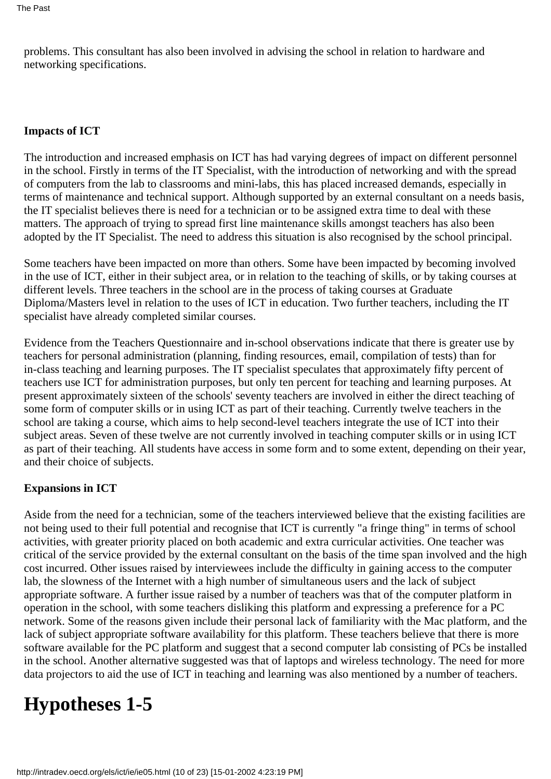problems. This consultant has also been involved in advising the school in relation to hardware and networking specifications.

#### **Impacts of ICT**

The introduction and increased emphasis on ICT has had varying degrees of impact on different personnel in the school. Firstly in terms of the IT Specialist, with the introduction of networking and with the spread of computers from the lab to classrooms and mini-labs, this has placed increased demands, especially in terms of maintenance and technical support. Although supported by an external consultant on a needs basis, the IT specialist believes there is need for a technician or to be assigned extra time to deal with these matters. The approach of trying to spread first line maintenance skills amongst teachers has also been adopted by the IT Specialist. The need to address this situation is also recognised by the school principal.

Some teachers have been impacted on more than others. Some have been impacted by becoming involved in the use of ICT, either in their subject area, or in relation to the teaching of skills, or by taking courses at different levels. Three teachers in the school are in the process of taking courses at Graduate Diploma/Masters level in relation to the uses of ICT in education. Two further teachers, including the IT specialist have already completed similar courses.

Evidence from the Teachers Questionnaire and in-school observations indicate that there is greater use by teachers for personal administration (planning, finding resources, email, compilation of tests) than for in-class teaching and learning purposes. The IT specialist speculates that approximately fifty percent of teachers use ICT for administration purposes, but only ten percent for teaching and learning purposes. At present approximately sixteen of the schools' seventy teachers are involved in either the direct teaching of some form of computer skills or in using ICT as part of their teaching. Currently twelve teachers in the school are taking a course, which aims to help second-level teachers integrate the use of ICT into their subject areas. Seven of these twelve are not currently involved in teaching computer skills or in using ICT as part of their teaching. All students have access in some form and to some extent, depending on their year, and their choice of subjects.

#### **Expansions in ICT**

Aside from the need for a technician, some of the teachers interviewed believe that the existing facilities are not being used to their full potential and recognise that ICT is currently "a fringe thing" in terms of school activities, with greater priority placed on both academic and extra curricular activities. One teacher was critical of the service provided by the external consultant on the basis of the time span involved and the high cost incurred. Other issues raised by interviewees include the difficulty in gaining access to the computer lab, the slowness of the Internet with a high number of simultaneous users and the lack of subject appropriate software. A further issue raised by a number of teachers was that of the computer platform in operation in the school, with some teachers disliking this platform and expressing a preference for a PC network. Some of the reasons given include their personal lack of familiarity with the Mac platform, and the lack of subject appropriate software availability for this platform. These teachers believe that there is more software available for the PC platform and suggest that a second computer lab consisting of PCs be installed in the school. Another alternative suggested was that of laptops and wireless technology. The need for more data projectors to aid the use of ICT in teaching and learning was also mentioned by a number of teachers.

# **Hypotheses 1-5**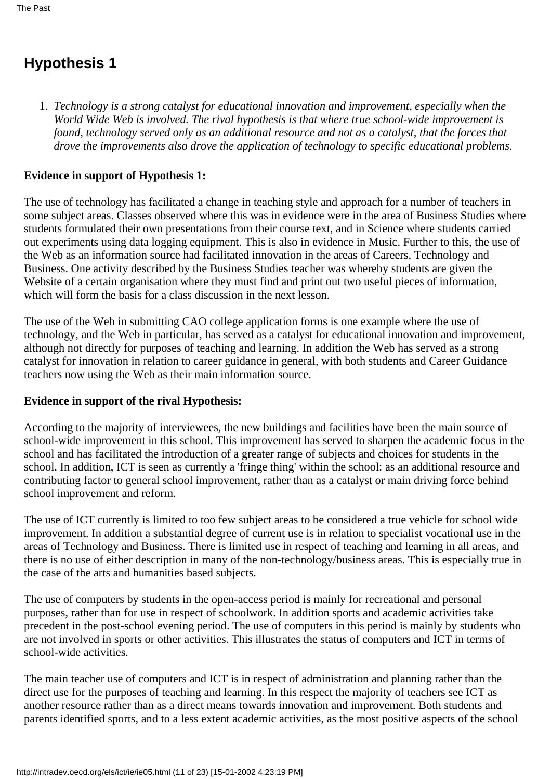## **Hypothesis 1**

*Technology is a strong catalyst for educational innovation and improvement, especially when the* 1. *World Wide Web is involved. The rival hypothesis is that where true school-wide improvement is found, technology served only as an additional resource and not as a catalyst, that the forces that drove the improvements also drove the application of technology to specific educational problems*.

#### **Evidence in support of Hypothesis 1:**

The use of technology has facilitated a change in teaching style and approach for a number of teachers in some subject areas. Classes observed where this was in evidence were in the area of Business Studies where students formulated their own presentations from their course text, and in Science where students carried out experiments using data logging equipment. This is also in evidence in Music. Further to this, the use of the Web as an information source had facilitated innovation in the areas of Careers, Technology and Business. One activity described by the Business Studies teacher was whereby students are given the Website of a certain organisation where they must find and print out two useful pieces of information, which will form the basis for a class discussion in the next lesson.

The use of the Web in submitting CAO college application forms is one example where the use of technology, and the Web in particular, has served as a catalyst for educational innovation and improvement, although not directly for purposes of teaching and learning. In addition the Web has served as a strong catalyst for innovation in relation to career guidance in general, with both students and Career Guidance teachers now using the Web as their main information source.

#### **Evidence in support of the rival Hypothesis:**

According to the majority of interviewees, the new buildings and facilities have been the main source of school-wide improvement in this school. This improvement has served to sharpen the academic focus in the school and has facilitated the introduction of a greater range of subjects and choices for students in the school. In addition, ICT is seen as currently a 'fringe thing' within the school: as an additional resource and contributing factor to general school improvement, rather than as a catalyst or main driving force behind school improvement and reform.

The use of ICT currently is limited to too few subject areas to be considered a true vehicle for school wide improvement. In addition a substantial degree of current use is in relation to specialist vocational use in the areas of Technology and Business. There is limited use in respect of teaching and learning in all areas, and there is no use of either description in many of the non-technology/business areas. This is especially true in the case of the arts and humanities based subjects.

The use of computers by students in the open-access period is mainly for recreational and personal purposes, rather than for use in respect of schoolwork. In addition sports and academic activities take precedent in the post-school evening period. The use of computers in this period is mainly by students who are not involved in sports or other activities. This illustrates the status of computers and ICT in terms of school-wide activities.

The main teacher use of computers and ICT is in respect of administration and planning rather than the direct use for the purposes of teaching and learning. In this respect the majority of teachers see ICT as another resource rather than as a direct means towards innovation and improvement. Both students and parents identified sports, and to a less extent academic activities, as the most positive aspects of the school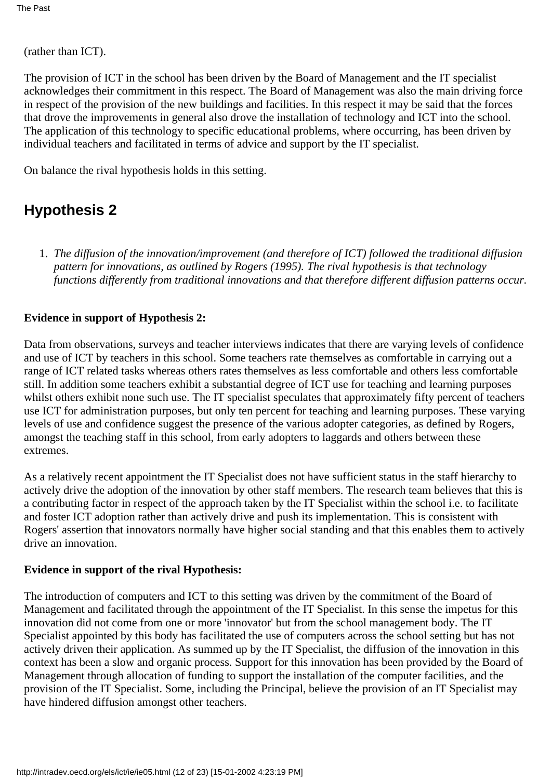(rather than ICT).

The provision of ICT in the school has been driven by the Board of Management and the IT specialist acknowledges their commitment in this respect. The Board of Management was also the main driving force in respect of the provision of the new buildings and facilities. In this respect it may be said that the forces that drove the improvements in general also drove the installation of technology and ICT into the school. The application of this technology to specific educational problems, where occurring, has been driven by individual teachers and facilitated in terms of advice and support by the IT specialist.

On balance the rival hypothesis holds in this setting.

## **Hypothesis 2**

*The diffusion of the innovation/improvement (and therefore of ICT) followed the traditional diffusion* 1. *pattern for innovations, as outlined by Rogers (1995). The rival hypothesis is that technology functions differently from traditional innovations and that therefore different diffusion patterns occur.*

#### **Evidence in support of Hypothesis 2:**

Data from observations, surveys and teacher interviews indicates that there are varying levels of confidence and use of ICT by teachers in this school. Some teachers rate themselves as comfortable in carrying out a range of ICT related tasks whereas others rates themselves as less comfortable and others less comfortable still. In addition some teachers exhibit a substantial degree of ICT use for teaching and learning purposes whilst others exhibit none such use. The IT specialist speculates that approximately fifty percent of teachers use ICT for administration purposes, but only ten percent for teaching and learning purposes. These varying levels of use and confidence suggest the presence of the various adopter categories, as defined by Rogers, amongst the teaching staff in this school, from early adopters to laggards and others between these extremes.

As a relatively recent appointment the IT Specialist does not have sufficient status in the staff hierarchy to actively drive the adoption of the innovation by other staff members. The research team believes that this is a contributing factor in respect of the approach taken by the IT Specialist within the school i.e. to facilitate and foster ICT adoption rather than actively drive and push its implementation. This is consistent with Rogers' assertion that innovators normally have higher social standing and that this enables them to actively drive an innovation.

#### **Evidence in support of the rival Hypothesis:**

The introduction of computers and ICT to this setting was driven by the commitment of the Board of Management and facilitated through the appointment of the IT Specialist. In this sense the impetus for this innovation did not come from one or more 'innovator' but from the school management body. The IT Specialist appointed by this body has facilitated the use of computers across the school setting but has not actively driven their application. As summed up by the IT Specialist, the diffusion of the innovation in this context has been a slow and organic process. Support for this innovation has been provided by the Board of Management through allocation of funding to support the installation of the computer facilities, and the provision of the IT Specialist. Some, including the Principal, believe the provision of an IT Specialist may have hindered diffusion amongst other teachers.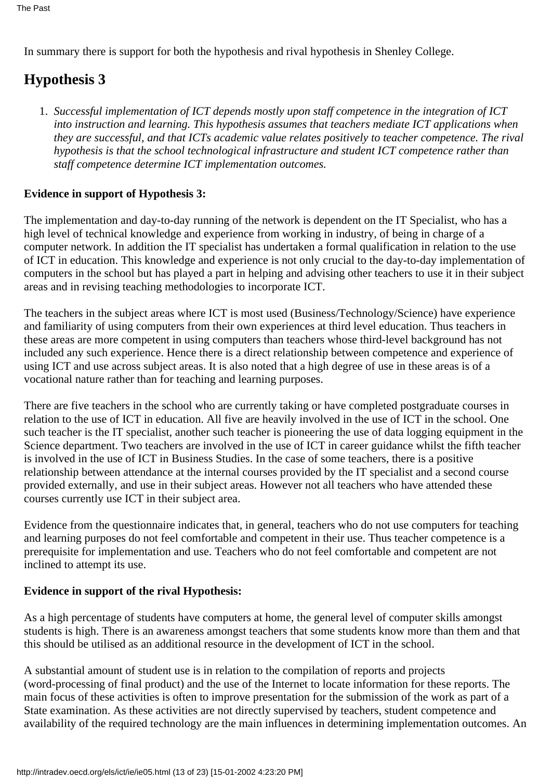In summary there is support for both the hypothesis and rival hypothesis in Shenley College.

## **Hypothesis 3**

*Successful implementation of ICT depends mostly upon staff competence in the integration of ICT* 1. *into instruction and learning. This hypothesis assumes that teachers mediate ICT applications when* they are successful, and that ICT s academic value relates positively to teacher competence. The rival *hypothesis is that the school technological infrastructure and student ICT competence rather than staff competence determine ICT implementation outcomes.*

#### **Evidence in support of Hypothesis 3:**

The implementation and day-to-day running of the network is dependent on the IT Specialist, who has a high level of technical knowledge and experience from working in industry, of being in charge of a computer network. In addition the IT specialist has undertaken a formal qualification in relation to the use of ICT in education. This knowledge and experience is not only crucial to the day-to-day implementation of computers in the school but has played a part in helping and advising other teachers to use it in their subject areas and in revising teaching methodologies to incorporate ICT.

The teachers in the subject areas where ICT is most used (Business/Technology/Science) have experience and familiarity of using computers from their own experiences at third level education. Thus teachers in these areas are more competent in using computers than teachers whose third-level background has not included any such experience. Hence there is a direct relationship between competence and experience of using ICT and use across subject areas. It is also noted that a high degree of use in these areas is of a vocational nature rather than for teaching and learning purposes.

There are five teachers in the school who are currently taking or have completed postgraduate courses in relation to the use of ICT in education. All five are heavily involved in the use of ICT in the school. One such teacher is the IT specialist, another such teacher is pioneering the use of data logging equipment in the Science department. Two teachers are involved in the use of ICT in career guidance whilst the fifth teacher is involved in the use of ICT in Business Studies. In the case of some teachers, there is a positive relationship between attendance at the internal courses provided by the IT specialist and a second course provided externally, and use in their subject areas. However not all teachers who have attended these courses currently use ICT in their subject area.

Evidence from the questionnaire indicates that, in general, teachers who do not use computers for teaching and learning purposes do not feel comfortable and competent in their use. Thus teacher competence is a prerequisite for implementation and use. Teachers who do not feel comfortable and competent are not inclined to attempt its use.

#### **Evidence in support of the rival Hypothesis:**

As a high percentage of students have computers at home, the general level of computer skills amongst students is high. There is an awareness amongst teachers that some students know more than them and that this should be utilised as an additional resource in the development of ICT in the school.

A substantial amount of student use is in relation to the compilation of reports and projects (word-processing of final product) and the use of the Internet to locate information for these reports. The main focus of these activities is often to improve presentation for the submission of the work as part of a State examination. As these activities are not directly supervised by teachers, student competence and availability of the required technology are the main influences in determining implementation outcomes. An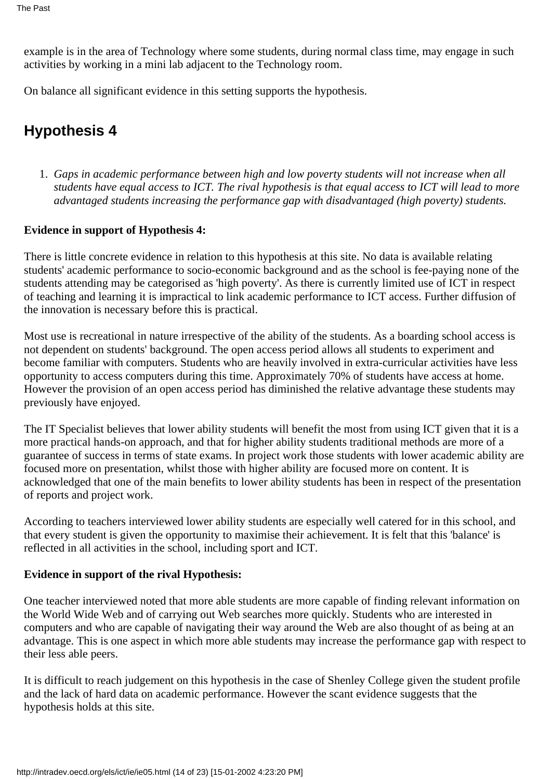example is in the area of Technology where some students, during normal class time, may engage in such activities by working in a mini lab adjacent to the Technology room.

On balance all significant evidence in this setting supports the hypothesis.

# **Hypothesis 4**

*Gaps in academic performance between high and low poverty students will not increase when all* 1. *students have equal access to ICT. The rival hypothesis is that equal access to ICT will lead to more advantaged students increasing the performance gap with disadvantaged (high poverty) students.*

#### **Evidence in support of Hypothesis 4:**

There is little concrete evidence in relation to this hypothesis at this site. No data is available relating students' academic performance to socio-economic background and as the school is fee-paying none of the students attending may be categorised as 'high poverty'. As there is currently limited use of ICT in respect of teaching and learning it is impractical to link academic performance to ICT access. Further diffusion of the innovation is necessary before this is practical.

Most use is recreational in nature irrespective of the ability of the students. As a boarding school access is not dependent on students' background. The open access period allows all students to experiment and become familiar with computers. Students who are heavily involved in extra-curricular activities have less opportunity to access computers during this time. Approximately 70% of students have access at home. However the provision of an open access period has diminished the relative advantage these students may previously have enjoyed.

The IT Specialist believes that lower ability students will benefit the most from using ICT given that it is a more practical hands-on approach, and that for higher ability students traditional methods are more of a guarantee of success in terms of state exams. In project work those students with lower academic ability are focused more on presentation, whilst those with higher ability are focused more on content. It is acknowledged that one of the main benefits to lower ability students has been in respect of the presentation of reports and project work.

According to teachers interviewed lower ability students are especially well catered for in this school, and that every student is given the opportunity to maximise their achievement. It is felt that this 'balance' is reflected in all activities in the school, including sport and ICT.

#### **Evidence in support of the rival Hypothesis:**

One teacher interviewed noted that more able students are more capable of finding relevant information on the World Wide Web and of carrying out Web searches more quickly. Students who are interested in computers and who are capable of navigating their way around the Web are also thought of as being at an advantage. This is one aspect in which more able students may increase the performance gap with respect to their less able peers.

It is difficult to reach judgement on this hypothesis in the case of Shenley College given the student profile and the lack of hard data on academic performance. However the scant evidence suggests that the hypothesis holds at this site.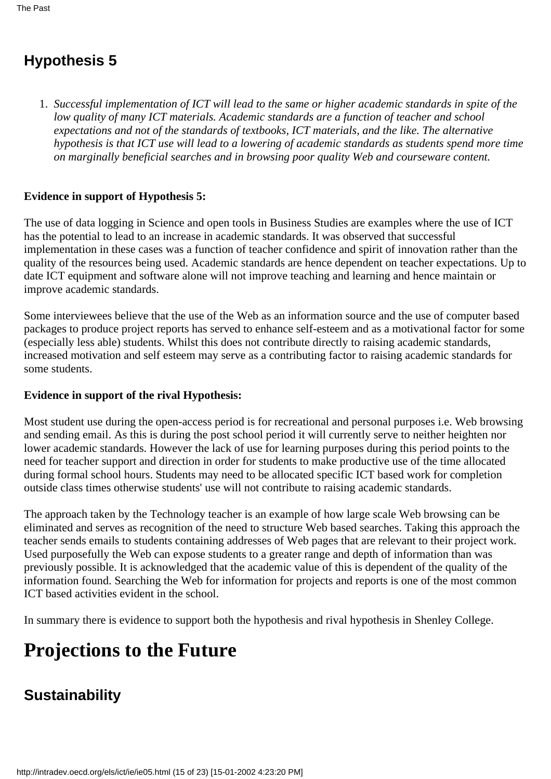# **Hypothesis 5**

*Successful implementation of ICT will lead to the same or higher academic standards in spite of the* 1. *low quality of many ICT materials. Academic standards are a function of teacher and school expectations and not of the standards of textbooks, ICT materials, and the like. The alternative hypothesis is that ICT use will lead to a lowering of academic standards as students spend more time on marginally beneficial searches and in browsing poor quality Web and courseware content.*

#### **Evidence in support of Hypothesis 5:**

The use of data logging in Science and open tools in Business Studies are examples where the use of ICT has the potential to lead to an increase in academic standards. It was observed that successful implementation in these cases was a function of teacher confidence and spirit of innovation rather than the quality of the resources being used. Academic standards are hence dependent on teacher expectations. Up to date ICT equipment and software alone will not improve teaching and learning and hence maintain or improve academic standards.

Some interviewees believe that the use of the Web as an information source and the use of computer based packages to produce project reports has served to enhance self-esteem and as a motivational factor for some (especially less able) students. Whilst this does not contribute directly to raising academic standards, increased motivation and self esteem may serve as a contributing factor to raising academic standards for some students.

#### **Evidence in support of the rival Hypothesis:**

Most student use during the open-access period is for recreational and personal purposes i.e. Web browsing and sending email. As this is during the post school period it will currently serve to neither heighten nor lower academic standards. However the lack of use for learning purposes during this period points to the need for teacher support and direction in order for students to make productive use of the time allocated during formal school hours. Students may need to be allocated specific ICT based work for completion outside class times otherwise students' use will not contribute to raising academic standards.

The approach taken by the Technology teacher is an example of how large scale Web browsing can be eliminated and serves as recognition of the need to structure Web based searches. Taking this approach the teacher sends emails to students containing addresses of Web pages that are relevant to their project work. Used purposefully the Web can expose students to a greater range and depth of information than was previously possible. It is acknowledged that the academic value of this is dependent of the quality of the information found. Searching the Web for information for projects and reports is one of the most common ICT based activities evident in the school.

In summary there is evidence to support both the hypothesis and rival hypothesis in Shenley College.

# **Projections to the Future**

# **Sustainability**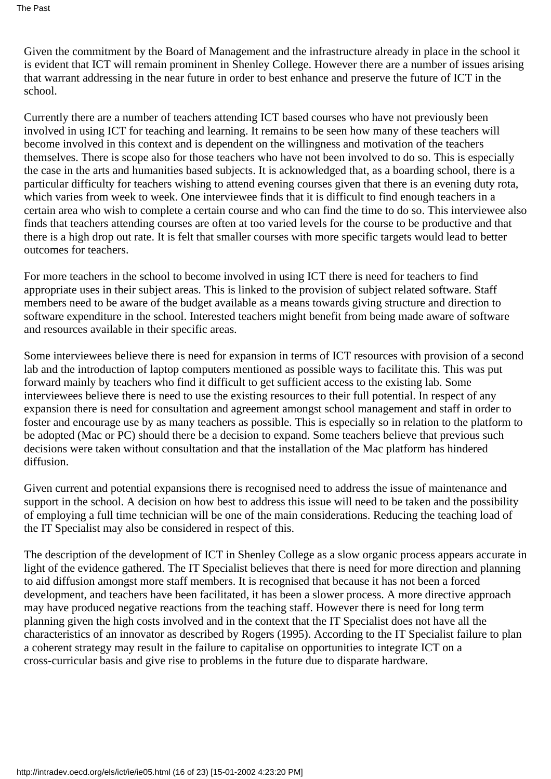Given the commitment by the Board of Management and the infrastructure already in place in the school it is evident that ICT will remain prominent in Shenley College. However there are a number of issues arising that warrant addressing in the near future in order to best enhance and preserve the future of ICT in the school.

Currently there are a number of teachers attending ICT based courses who have not previously been involved in using ICT for teaching and learning. It remains to be seen how many of these teachers will become involved in this context and is dependent on the willingness and motivation of the teachers themselves. There is scope also for those teachers who have not been involved to do so. This is especially the case in the arts and humanities based subjects. It is acknowledged that, as a boarding school, there is a particular difficulty for teachers wishing to attend evening courses given that there is an evening duty rota, which varies from week to week. One interviewee finds that it is difficult to find enough teachers in a certain area who wish to complete a certain course and who can find the time to do so. This interviewee also finds that teachers attending courses are often at too varied levels for the course to be productive and that there is a high drop out rate. It is felt that smaller courses with more specific targets would lead to better outcomes for teachers.

For more teachers in the school to become involved in using ICT there is need for teachers to find appropriate uses in their subject areas. This is linked to the provision of subject related software. Staff members need to be aware of the budget available as a means towards giving structure and direction to software expenditure in the school. Interested teachers might benefit from being made aware of software and resources available in their specific areas.

Some interviewees believe there is need for expansion in terms of ICT resources with provision of a second lab and the introduction of laptop computers mentioned as possible ways to facilitate this. This was put forward mainly by teachers who find it difficult to get sufficient access to the existing lab. Some interviewees believe there is need to use the existing resources to their full potential. In respect of any expansion there is need for consultation and agreement amongst school management and staff in order to foster and encourage use by as many teachers as possible. This is especially so in relation to the platform to be adopted (Mac or PC) should there be a decision to expand. Some teachers believe that previous such decisions were taken without consultation and that the installation of the Mac platform has hindered diffusion.

Given current and potential expansions there is recognised need to address the issue of maintenance and support in the school. A decision on how best to address this issue will need to be taken and the possibility of employing a full time technician will be one of the main considerations. Reducing the teaching load of the IT Specialist may also be considered in respect of this.

The description of the development of ICT in Shenley College as a slow organic process appears accurate in light of the evidence gathered. The IT Specialist believes that there is need for more direction and planning to aid diffusion amongst more staff members. It is recognised that because it has not been a forced development, and teachers have been facilitated, it has been a slower process. A more directive approach may have produced negative reactions from the teaching staff. However there is need for long term planning given the high costs involved and in the context that the IT Specialist does not have all the characteristics of an innovator as described by Rogers (1995). According to the IT Specialist failure to plan a coherent strategy may result in the failure to capitalise on opportunities to integrate ICT on a cross-curricular basis and give rise to problems in the future due to disparate hardware.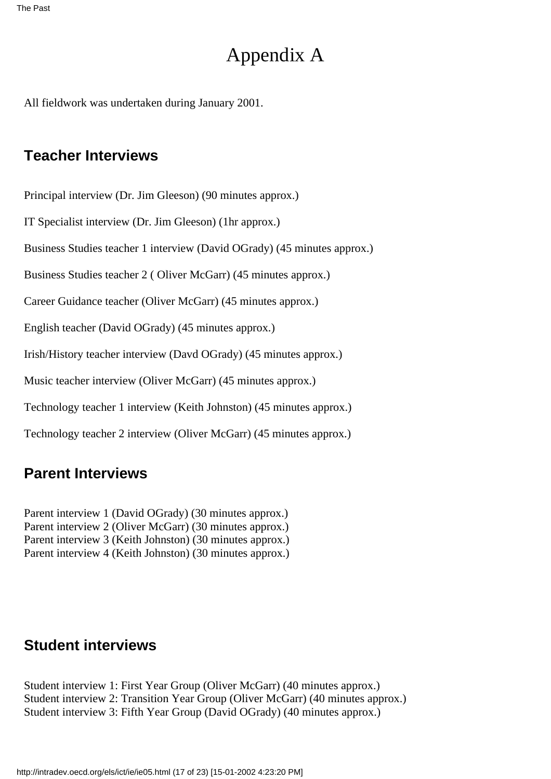# Appendix A

All fieldwork was undertaken during January 2001.

### **Teacher Interviews**

Principal interview (Dr. Jim Gleeson) (90 minutes approx.)

IT Specialist interview (Dr. Jim Gleeson) (1hr approx.)

Business Studies teacher 1 interview (David O Grady) (45 minutes approx.)

Business Studies teacher 2 ( Oliver McGarr) (45 minutes approx.)

Career Guidance teacher (Oliver McGarr) (45 minutes approx.)

English teacher (David O Grady) (45 minutes approx.)

Irish/History teacher interview (Davd OGrady) (45 minutes approx.)

Music teacher interview (Oliver McGarr) (45 minutes approx.)

Technology teacher 1 interview (Keith Johnston) (45 minutes approx.)

Technology teacher 2 interview (Oliver McGarr) (45 minutes approx.)

### **Parent Interviews**

Parent interview 1 (David O Grady) (30 minutes approx.) Parent interview 2 (Oliver McGarr) (30 minutes approx.) Parent interview 3 (Keith Johnston) (30 minutes approx.) Parent interview 4 (Keith Johnston) (30 minutes approx.)

### **Student interviews**

Student interview 1: First Year Group (Oliver McGarr) (40 minutes approx.) Student interview 2: Transition Year Group (Oliver McGarr) (40 minutes approx.) Student interview 3: Fifth Year Group (David O Grady) (40 minutes approx.)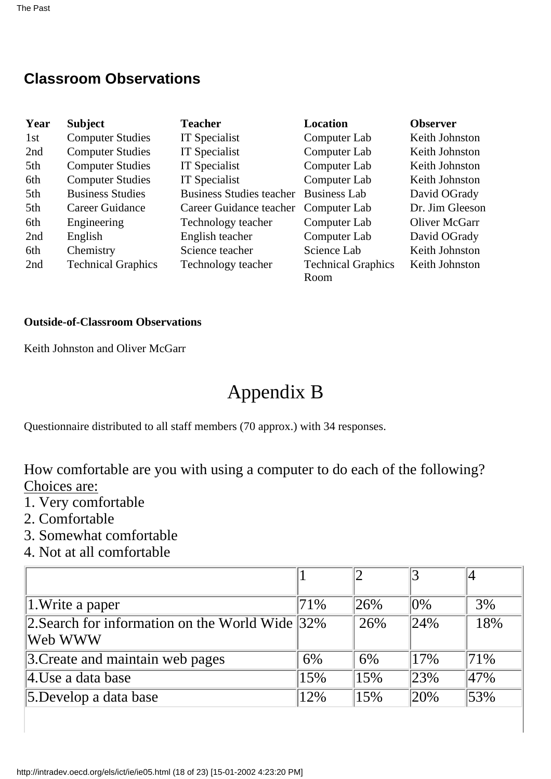## **Classroom Observations**

| Year | <b>Subject</b>            | <b>Teacher</b>                  | <b>Location</b>                   | <b>Observer</b> |
|------|---------------------------|---------------------------------|-----------------------------------|-----------------|
| 1st  | <b>Computer Studies</b>   | IT Specialist                   | Computer Lab                      | Keith Johnston  |
| 2nd  | <b>Computer Studies</b>   | IT Specialist                   | Computer Lab                      | Keith Johnston  |
| 5th  | <b>Computer Studies</b>   | IT Specialist                   | Computer Lab                      | Keith Johnston  |
| 6th  | <b>Computer Studies</b>   | IT Specialist                   | Computer Lab                      | Keith Johnston  |
| 5th  | <b>Business Studies</b>   | <b>Business Studies teacher</b> | <b>Business Lab</b>               | David O Grady   |
| 5th  | Career Guidance           | Career Guidance teacher         | Computer Lab                      | Dr. Jim Gleeson |
| 6th  | Engineering               | Technology teacher              | Computer Lab                      | Oliver McGarr   |
| 2nd  | English                   | English teacher                 | Computer Lab                      | David O Grady   |
| 6th  | Chemistry                 | Science teacher                 | Science Lab                       | Keith Johnston  |
| 2nd  | <b>Technical Graphics</b> | Technology teacher              | <b>Technical Graphics</b><br>Room | Keith Johnston  |

#### **Outside-of-Classroom Observations**

Keith Johnston and Oliver McGarr

# Appendix B

Questionnaire distributed to all staff members (70 approx.) with 34 responses.

How comfortable are you with using a computer to do each of the following? Choices are:

- 1. Very comfortable
- 2. Comfortable
- 3. Somewhat comfortable
- 4. Not at all comfortable

| $\vert$ 1. Write a paper                                    | 71% | 126% | $ 0\%$ | 3%  |
|-------------------------------------------------------------|-----|------|--------|-----|
| 2. Search for information on the World Wide 32%<br> Web WWW |     | 26%  | 24%    | 18% |
| 3. Create and maintain web pages                            | 6%  | 6%   | 17%    | 71% |
| $\parallel$ 4.Use a data base                               | 15% | 15%  | 23%    | 47% |
| 5. Develop a data base                                      | 12% | 15%  | 20%    | 53% |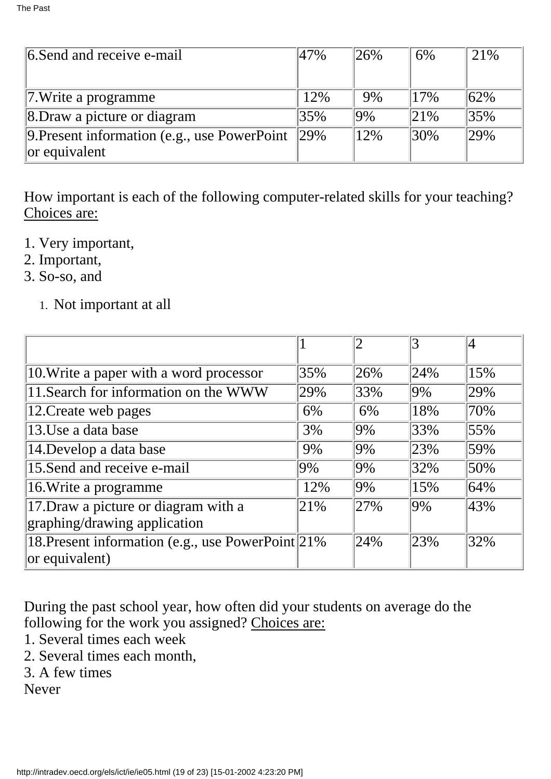| 6. Send and receive e-mail                            | 47% | 126%   | 6%  | 21% |
|-------------------------------------------------------|-----|--------|-----|-----|
|                                                       |     |        |     |     |
| 7. Write a programme                                  | 12% | 9%     | 17% | 62% |
| 8. Draw a picture or diagram                          | 35% | $ 9\%$ | 21% | 35% |
| 9. Present information (e.g., use PowerPoint $ 29\% $ |     | 12%    | 30% | 29% |
| $\alpha$ equivalent                                   |     |        |     |     |

How important is each of the following computer-related skills for your teaching? Choices are:

- 1. Very important,
- 2. Important,
- 3. So-so, and
	- 1. Not important at all

|                                                    |     | っ      |        |     |
|----------------------------------------------------|-----|--------|--------|-----|
| 10. Write a paper with a word processor            | 35% | 26%    | 24%    | 15% |
| 11. Search for information on the WWW              | 29% | 33%    | $9\%$  | 29% |
| 12. Create web pages                               | 6%  | 6%     | 18%    | 70% |
| 13.Use a data base                                 | 3%  | $ 9\%$ | 33%    | 55% |
| 14. Develop a data base                            | 9%  | $ 9\%$ | 23%    | 59% |
| 15. Send and receive e-mail                        | 9%  | $ 9\%$ | 32%    | 50% |
| 16. Write a programme                              | 12% | $ 9\%$ | 15%    | 64% |
| 17. Draw a picture or diagram with a               | 21% | 27%    | $ 9\%$ | 43% |
| graphing/drawing application                       |     |        |        |     |
| 18. Present information (e.g., use PowerPoint 21%) |     | 24%    | 23%    | 32% |
| $ $ or equivalent)                                 |     |        |        |     |

During the past school year, how often did your students on average do the following for the work you assigned? Choices are:

- 1. Several times each week
- 2. Several times each month,
- 3. A few times

Never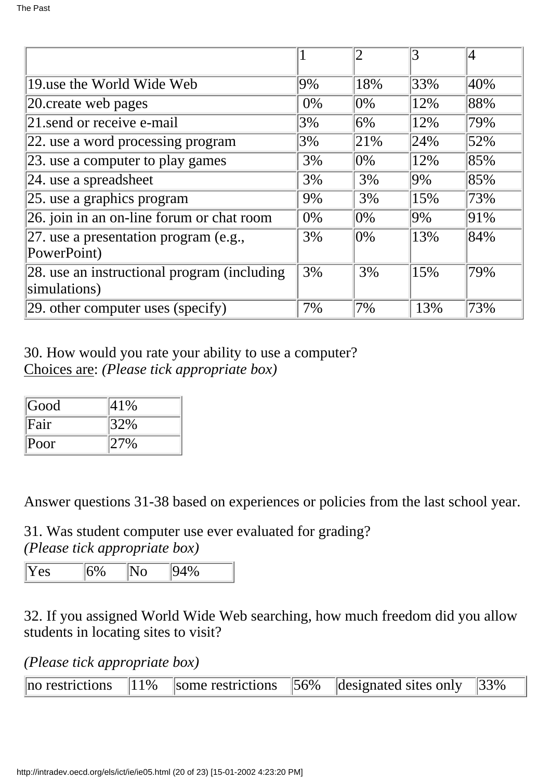|                                                             |       |        | 3     | 4   |
|-------------------------------------------------------------|-------|--------|-------|-----|
| 19 use the World Wide Web                                   | 9%    | 18%    | 33%   | 40% |
| 20 create web pages                                         | 0%    | $ 0\%$ | 12%   | 88% |
| 21 send or receive e-mail                                   | 3%    | $6\%$  | 12%   | 79% |
| 22. use a word processing program                           | 3%    | 21\%   | 24%   | 52% |
| 23. use a computer to play games                            | 3%    | $ 0\%$ | 12%   | 85% |
| $ 24.$ use a spreadsheet                                    | 3%    | 3%     | $9\%$ | 85% |
| 25. use a graphics program                                  | 9%    | 3%     | 15%   | 73% |
| 26. join in an on-line forum or chat room                   | $0\%$ | $ 0\%$ | $9\%$ | 91% |
| 27. use a presentation program (e.g.,<br>PowerPoint)        | 3%    | $ 0\%$ | 13%   | 84% |
| 28. use an instructional program (including<br>simulations) | 3%    | 3%     | 15%   | 79% |
| $ 29.$ other computer uses (specify)                        | 7%    | 7%     | 13%   | 73% |

30. How would you rate your ability to use a computer? Choices are: *(Please tick appropriate box)*

| Good     | 41% |
|----------|-----|
| Fair     | 32% |
| $ $ Poor | 27% |

Answer questions 31-38 based on experiences or policies from the last school year.

31. Was student computer use ever evaluated for grading?

*(Please tick appropriate box)*

| $\mathsf{L}$<br>. PS |
|----------------------|
|----------------------|

32. If you assigned World Wide Web searching, how much freedom did you allow students in locating sites to visit?

*(Please tick appropriate box)*

| no restrictions $\ 11\%$ some restrictions $\ 56\%$ designated sites only $\ 33\%$ |  |  |  |
|------------------------------------------------------------------------------------|--|--|--|
|------------------------------------------------------------------------------------|--|--|--|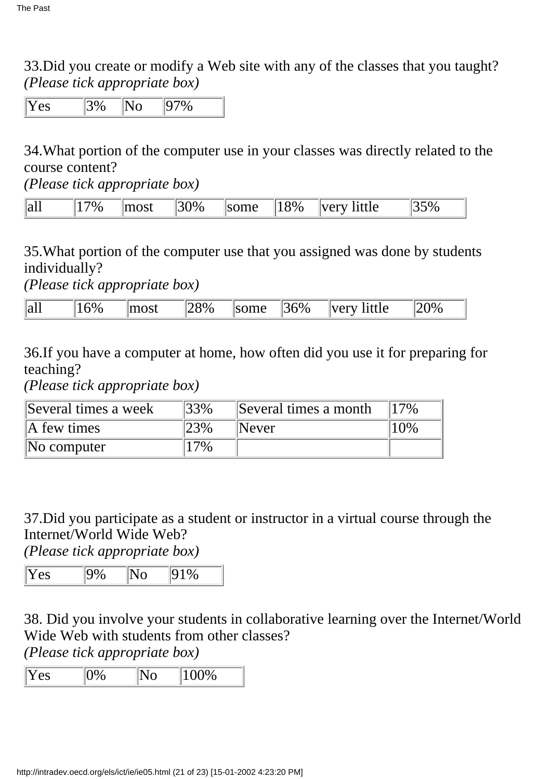33.Did you create or modify a Web site with any of the classes that you taught? *(Please tick appropriate box)*

Yes 3% No 97%

34.What portion of the computer use in your classes was directly related to the course content?

*(Please tick appropriate box)*

| all<br>8%<br>ma<br>$W_0$<br>∣tt I ∆<br>$N \rho^{n+1}$<br>$. \cap$<br>$\%$<br>-- | $V_{\rm r}$ |
|---------------------------------------------------------------------------------|-------------|
|---------------------------------------------------------------------------------|-------------|

35.What portion of the computer use that you assigned was done by students individually?

*(Please tick appropriate box)*

| all | $v_{\ell}$ | ~~4 | $v_{0n}$ | $\sim$ | $5\%$ | $^{\circ}$ ++1 $\alpha$<br>$- - - -$ | $\frac{10}{6}$ |
|-----|------------|-----|----------|--------|-------|--------------------------------------|----------------|
|-----|------------|-----|----------|--------|-------|--------------------------------------|----------------|

36.If you have a computer at home, how often did you use it for preparing for teaching?

*(Please tick appropriate box)*

| Several times a week | 33% | Several times a month | 17% |
|----------------------|-----|-----------------------|-----|
| A few times          | 23% | <b>Never</b>          | 10% |
| $\mathbb N$ computer | 7%  |                       |     |

37.Did you participate as a student or instructor in a virtual course through the Internet/World Wide Web?

*(Please tick appropriate box)*

|--|

38. Did you involve your students in collaborative learning over the Internet/World Wide Web with students from other classes?

*(Please tick appropriate box)*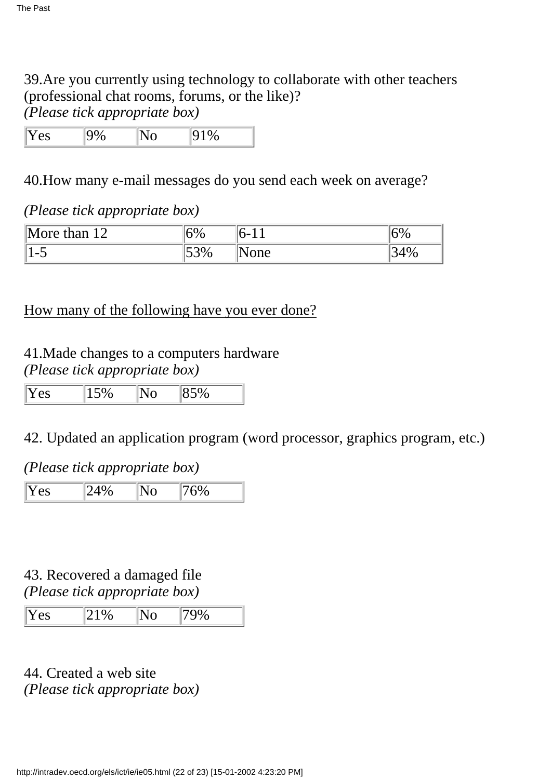39.Are you currently using technology to collaborate with other teachers (professional chat rooms, forums, or the like)? *(Please tick appropriate box)*

Yes 9% No 91%

40.How many e-mail messages do you send each week on average?

### *(Please tick appropriate box)*

| ١M<br>$1^{\wedge}$<br>than<br>∩re | ۵۰.<br>. .<br>$\%$          | $\mathbf{r}$            | $\frac{1}{2}$<br>ິ |
|-----------------------------------|-----------------------------|-------------------------|--------------------|
| $\overline{\phantom{0}}$<br>ຼ     | $\sim$<br>$\sim$<br>$153\%$ | $n \rho$<br><b>UIIV</b> | $\%$<br>ັ          |

### How many of the following have you ever done?

### 41. Made changes to a computer s hardware *(Please tick appropriate box)*

| I<br>PS |  |  |
|---------|--|--|

### 42. Updated an application program (word processor, graphics program, etc.)

### *(Please tick appropriate box)*

Yes 24% No 76%

### 43. Recovered a damaged file *(Please tick appropriate box)*

| $ \mathbf{Y}%  +\rangle$<br>r es | ו גוי | 700/ |  |
|----------------------------------|-------|------|--|
|----------------------------------|-------|------|--|

44. Created a web site *(Please tick appropriate box)*